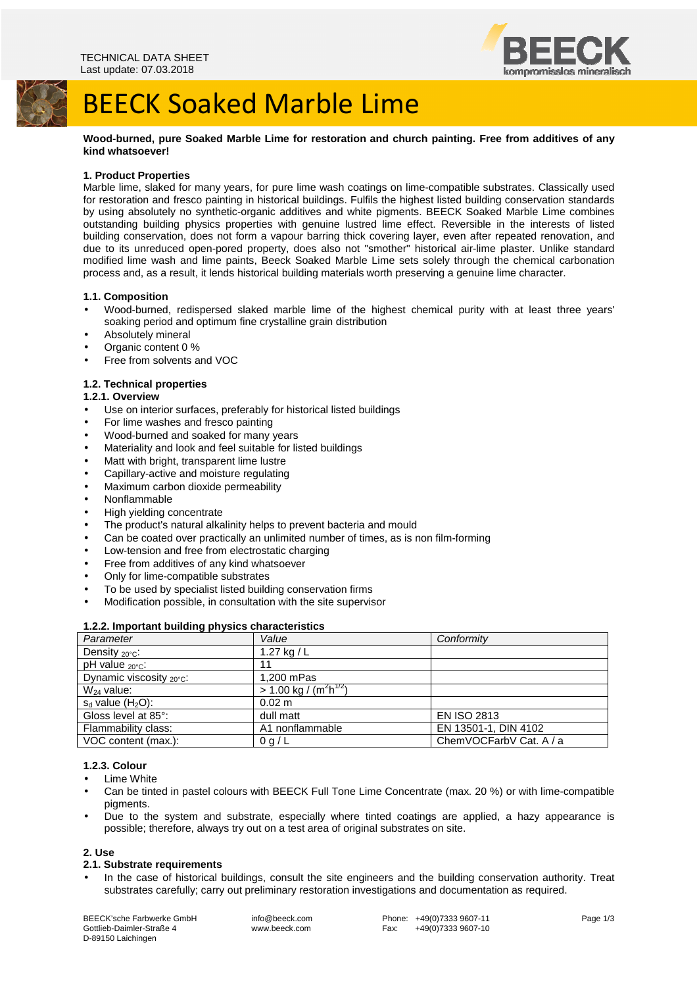

# BEECK Soaked Marble Lime

**Wood-burned, pure Soaked Marble Lime for restoration and church painting. Free from additives of any kind whatsoever!** 

# **1. Product Properties**

Marble lime, slaked for many years, for pure lime wash coatings on lime-compatible substrates. Classically used for restoration and fresco painting in historical buildings. Fulfils the highest listed building conservation standards by using absolutely no synthetic-organic additives and white pigments. BEECK Soaked Marble Lime combines outstanding building physics properties with genuine lustred lime effect. Reversible in the interests of listed building conservation, does not form a vapour barring thick covering layer, even after repeated renovation, and due to its unreduced open-pored property, does also not "smother" historical air-lime plaster. Unlike standard modified lime wash and lime paints, Beeck Soaked Marble Lime sets solely through the chemical carbonation process and, as a result, it lends historical building materials worth preserving a genuine lime character.

# **1.1. Composition**

- Wood-burned, redispersed slaked marble lime of the highest chemical purity with at least three years' soaking period and optimum fine crystalline grain distribution
- Absolutely mineral
- Organic content 0 %
- Free from solvents and VOC

# **1.2. Technical properties**

## **1.2.1. Overview**

- Use on interior surfaces, preferably for historical listed buildings
- For lime washes and fresco painting
- Wood-burned and soaked for many years
- Materiality and look and feel suitable for listed buildings
- Matt with bright, transparent lime lustre
- Capillary-active and moisture regulating
- Maximum carbon dioxide permeability
- Nonflammable
- High yielding concentrate
- The product's natural alkalinity helps to prevent bacteria and mould
- Can be coated over practically an unlimited number of times, as is non film-forming
- Low-tension and free from electrostatic charging
- Free from additives of any kind whatsoever
- Only for lime-compatible substrates
- To be used by specialist listed building conservation firms
- Modification possible, in consultation with the site supervisor

## **1.2.2. Important building physics characteristics**

| .                                 |                                      |                         |
|-----------------------------------|--------------------------------------|-------------------------|
| Parameter                         | Value                                | Conformity              |
| Density $_{20^{\circ}C}$ :        | 1.27 kg / $L$                        |                         |
| pH value $_{20^{\circ}C}$ :       | 11                                   |                         |
| Dynamic viscosity $20^{\circ}$ C: | 1.200 mPas                           |                         |
| $W_{24}$ value:                   | $> 1.00$ kg / $\sqrt{(m^2 h^{1/2})}$ |                         |
| $s_d$ value $(H_2O)$ :            | $0.02 \text{ m}$                     |                         |
| Gloss level at 85°:               | dull matt                            | <b>EN ISO 2813</b>      |
| Flammability class:               | A1 nonflammable                      | EN 13501-1, DIN 4102    |
| VOC content (max.):               | 0 q/L                                | ChemVOCFarbV Cat. A / a |

## **1.2.3. Colour**

- **Lime White**
- Can be tinted in pastel colours with BEECK Full Tone Lime Concentrate (max. 20 %) or with lime-compatible pigments.
- Due to the system and substrate, especially where tinted coatings are applied, a hazy appearance is possible; therefore, always try out on a test area of original substrates on site.

## **2. Use**

## **2.1. Substrate requirements**

• In the case of historical buildings, consult the site engineers and the building conservation authority. Treat substrates carefully; carry out preliminary restoration investigations and documentation as required.

BEECK'sche Farbwerke GmbH Gottlieb-Daimler-Straße 4 D-89150 Laichingen

 info@beeck.com www.beeck.com Phone: +49(0)7333 9607-11<br>Fax: +49(0)7333 9607-10 +49(0)7333 9607-10 Page 1/3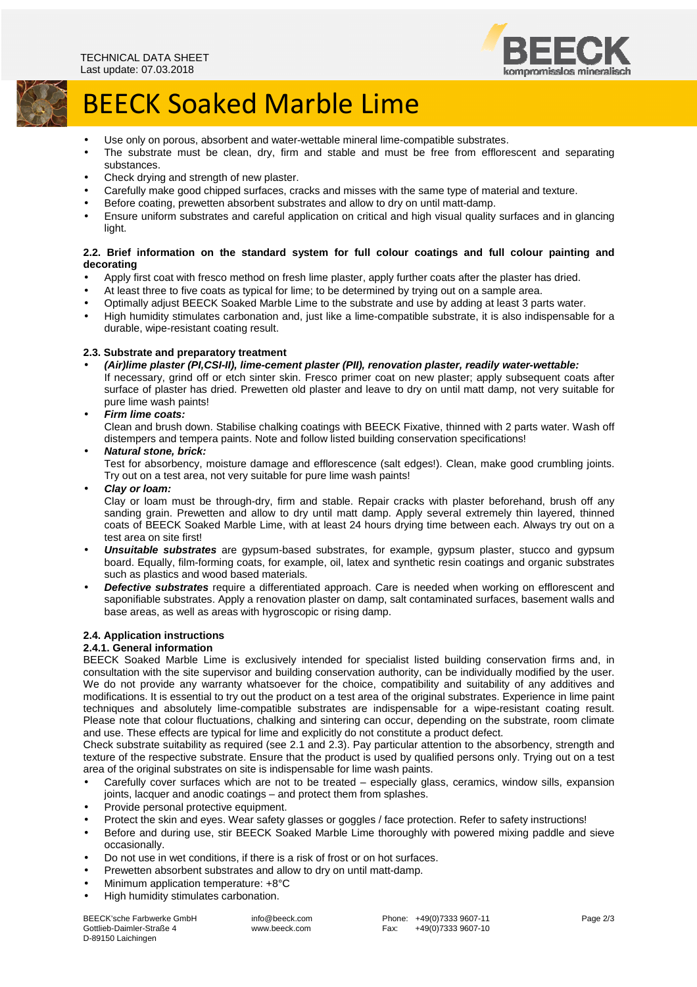

# BEECK Soaked Marble Lime

- Use only on porous, absorbent and water-wettable mineral lime-compatible substrates.
- The substrate must be clean, dry, firm and stable and must be free from efflorescent and separating substances.
- Check drying and strength of new plaster.
- Carefully make good chipped surfaces, cracks and misses with the same type of material and texture.
- Before coating, prewetten absorbent substrates and allow to dry on until matt-damp.
- Ensure uniform substrates and careful application on critical and high visual quality surfaces and in glancing light.

# **2.2. Brief information on the standard system for full colour coatings and full colour painting and decorating**

- Apply first coat with fresco method on fresh lime plaster, apply further coats after the plaster has dried.
- At least three to five coats as typical for lime; to be determined by trying out on a sample area.
- Optimally adjust BEECK Soaked Marble Lime to the substrate and use by adding at least 3 parts water.
- High humidity stimulates carbonation and, just like a lime-compatible substrate, it is also indispensable for a durable, wipe-resistant coating result.

# **2.3. Substrate and preparatory treatment**

- **(Air)lime plaster (PI,CSI-II), lime-cement plaster (PII), renovation plaster, readily water-wettable:**  If necessary, grind off or etch sinter skin. Fresco primer coat on new plaster; apply subsequent coats after surface of plaster has dried. Prewetten old plaster and leave to dry on until matt damp, not very suitable for pure lime wash paints!
- **Firm lime coats:**

Clean and brush down. Stabilise chalking coatings with BEECK Fixative, thinned with 2 parts water. Wash off distempers and tempera paints. Note and follow listed building conservation specifications!

• **Natural stone, brick:** 

Test for absorbency, moisture damage and efflorescence (salt edges!). Clean, make good crumbling joints. Try out on a test area, not very suitable for pure lime wash paints!

• **Clay or loam:** 

Clay or loam must be through-dry, firm and stable. Repair cracks with plaster beforehand, brush off any sanding grain. Prewetten and allow to dry until matt damp. Apply several extremely thin layered, thinned coats of BEECK Soaked Marble Lime, with at least 24 hours drying time between each. Always try out on a test area on site first!

- **Unsuitable substrates** are gypsum-based substrates, for example, gypsum plaster, stucco and gypsum board. Equally, film-forming coats, for example, oil, latex and synthetic resin coatings and organic substrates such as plastics and wood based materials.
- **Defective substrates** require a differentiated approach. Care is needed when working on efflorescent and saponifiable substrates. Apply a renovation plaster on damp, salt contaminated surfaces, basement walls and base areas, as well as areas with hygroscopic or rising damp.

# **2.4. Application instructions**

## **2.4.1. General information**

BEECK Soaked Marble Lime is exclusively intended for specialist listed building conservation firms and, in consultation with the site supervisor and building conservation authority, can be individually modified by the user. We do not provide any warranty whatsoever for the choice, compatibility and suitability of any additives and modifications. It is essential to try out the product on a test area of the original substrates. Experience in lime paint techniques and absolutely lime-compatible substrates are indispensable for a wipe-resistant coating result. Please note that colour fluctuations, chalking and sintering can occur, depending on the substrate, room climate and use. These effects are typical for lime and explicitly do not constitute a product defect.

Check substrate suitability as required (see 2.1 and 2.3). Pay particular attention to the absorbency, strength and texture of the respective substrate. Ensure that the product is used by qualified persons only. Trying out on a test area of the original substrates on site is indispensable for lime wash paints.

- Carefully cover surfaces which are not to be treated especially glass, ceramics, window sills, expansion joints, lacquer and anodic coatings – and protect them from splashes.
- Provide personal protective equipment.
- Protect the skin and eyes. Wear safety glasses or goggles / face protection. Refer to safety instructions!
- Before and during use, stir BEECK Soaked Marble Lime thoroughly with powered mixing paddle and sieve occasionally.
- Do not use in wet conditions, if there is a risk of frost or on hot surfaces.
- Prewetten absorbent substrates and allow to dry on until matt-damp.
- Minimum application temperature: +8°C
- High humidity stimulates carbonation.

BEECK'sche Farbwerke GmbH Gottlieb-Daimler-Straße 4 D-89150 Laichingen

 info@beeck.com www.beeck.com